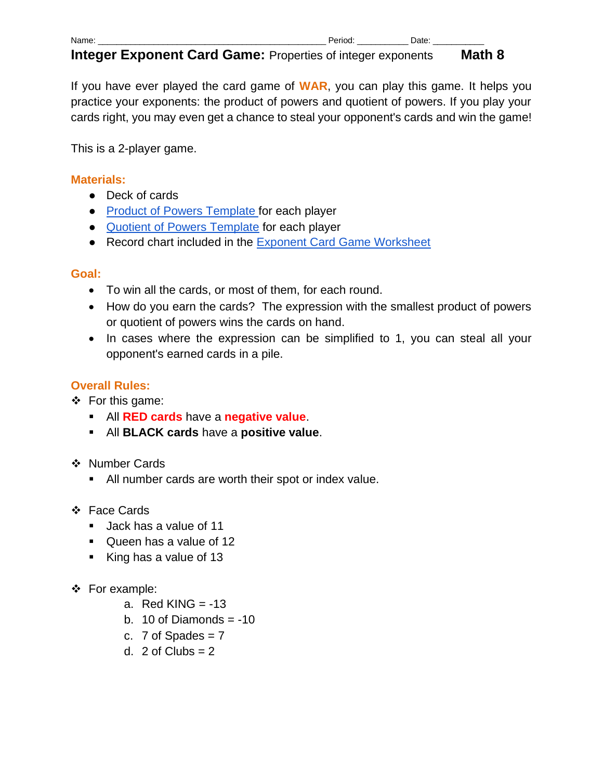| Na<br>.<br>. |  | ___ |
|--------------|--|-----|
|              |  |     |

If you have ever played the card game of **WAR**, you can play this game. It helps you practice your exponents: the product of powers and quotient of powers. If you play your cards right, you may even get a chance to steal your opponent's cards and win the game!

This is a 2-player game.

## **Materials:**

- Deck of cards
- [Product of Powers Template f](https://drive.google.com/open?id=16kxApMw0e5-P52eiu5tNfj7oLgyRVIXClIbDrtkpFmM)or each player
- [Quotient of Powers Template](https://drive.google.com/open?id=16kxApMw0e5-P52eiu5tNfj7oLgyRVIXClIbDrtkpFmM) for each player
- Record chart included in the [Exponent Card Game Worksheet](https://drive.google.com/open?id=1ujSOTfZ42_uYvDUfFm44gB_oZKwb865P-S2A2GaTao0)

## **Goal:**

- To win all the cards, or most of them, for each round.
- How do you earn the cards? The expression with the smallest product of powers or quotient of powers wins the cards on hand.
- In cases where the expression can be simplified to 1, you can steal all your opponent's earned cards in a pile.

# **Overall Rules:**

- ❖ For this game:
	- All **RED cards** have a **negative value**.
	- All **BLACK cards** have a **positive value**.
- ❖ Number Cards
	- All number cards are worth their spot or index value.
- ❖ Face Cards
	- Jack has a value of 11
	- Queen has a value of 12
	- King has a value of 13
- ❖ For example:
	- a. Red KING  $= -13$
	- b. 10 of Diamonds  $= -10$
	- c.  $7$  of Spades =  $7$
	- d.  $2$  of Clubs =  $2$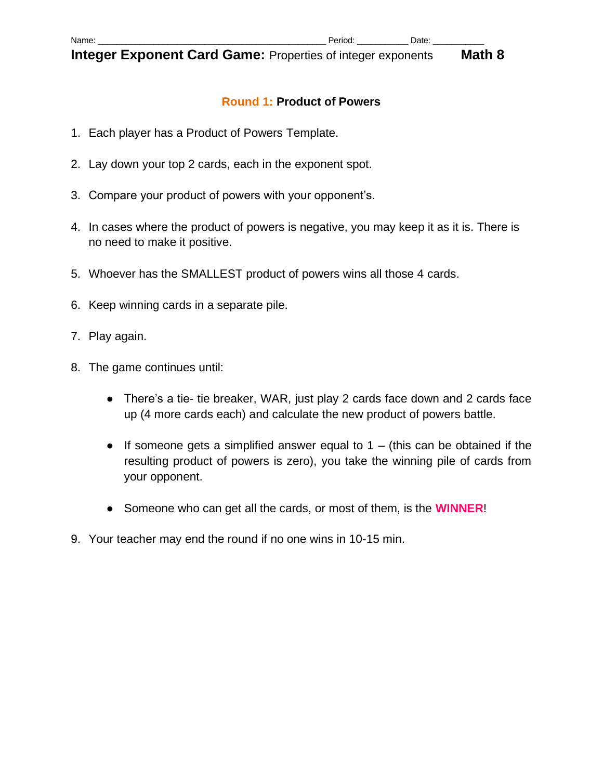#### **Round 1: Product of Powers**

- 1. Each player has a Product of Powers Template.
- 2. Lay down your top 2 cards, each in the exponent spot.
- 3. Compare your product of powers with your opponent's.
- 4. In cases where the product of powers is negative, you may keep it as it is. There is no need to make it positive.
- 5. Whoever has the SMALLEST product of powers wins all those 4 cards.
- 6. Keep winning cards in a separate pile.
- 7. Play again.
- 8. The game continues until:
	- There's a tie- tie breaker, WAR, just play 2 cards face down and 2 cards face up (4 more cards each) and calculate the new product of powers battle.
	- $\bullet$  If someone gets a simplified answer equal to 1 (this can be obtained if the resulting product of powers is zero), you take the winning pile of cards from your opponent.
	- Someone who can get all the cards, or most of them, is the **WINNER**!
- 9. Your teacher may end the round if no one wins in 10-15 min.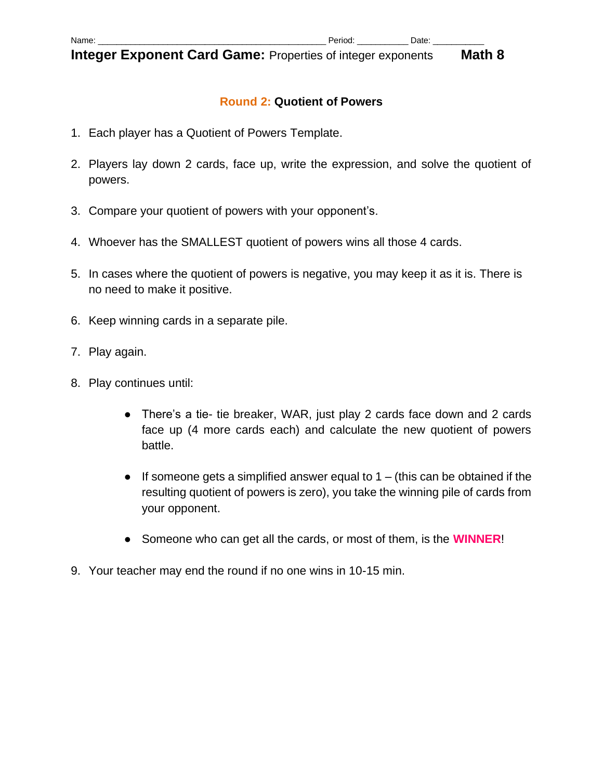#### **Round 2: Quotient of Powers**

- 1. Each player has a Quotient of Powers Template.
- 2. Players lay down 2 cards, face up, write the expression, and solve the quotient of powers.
- 3. Compare your quotient of powers with your opponent's.
- 4. Whoever has the SMALLEST quotient of powers wins all those 4 cards.
- 5. In cases where the quotient of powers is negative, you may keep it as it is. There is no need to make it positive.
- 6. Keep winning cards in a separate pile.
- 7. Play again.
- 8. Play continues until:
	- There's a tie- tie breaker, WAR, just play 2 cards face down and 2 cards face up (4 more cards each) and calculate the new quotient of powers battle.
	- $\bullet$  If someone gets a simplified answer equal to 1 (this can be obtained if the resulting quotient of powers is zero), you take the winning pile of cards from your opponent.
	- Someone who can get all the cards, or most of them, is the **WINNER**!
- 9. Your teacher may end the round if no one wins in 10-15 min.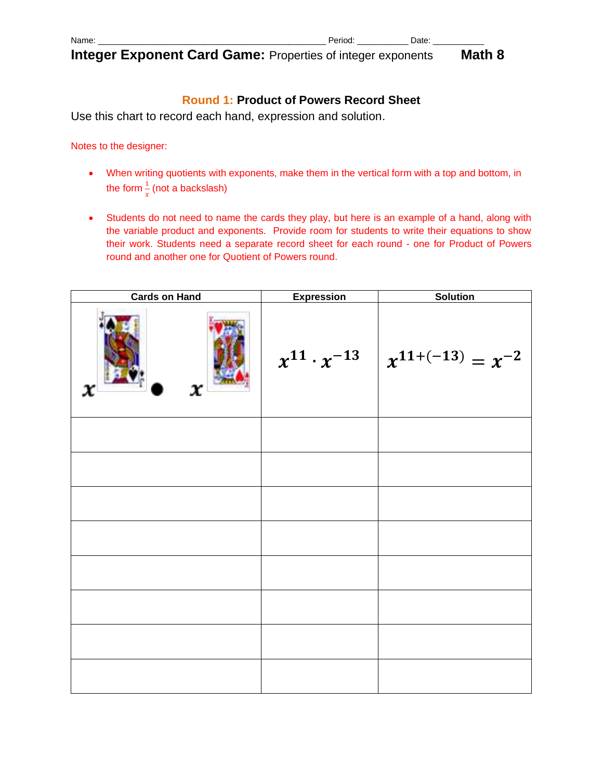| Name |  | 4 I F |
|------|--|-------|
|------|--|-------|

# **Round 1: Product of Powers Record Sheet**

Use this chart to record each hand, expression and solution.

Notes to the designer:

- When writing quotients with exponents, make them in the vertical form with a top and bottom, in the form  $\frac{1}{x}$  (not a backslash)
- Students do not need to name the cards they play, but here is an example of a hand, along with the variable product and exponents. Provide room for students to write their equations to show their work. Students need a separate record sheet for each round - one for Product of Powers round and another one for Quotient of Powers round.

| <b>Cards on Hand</b> | <b>Expression</b> | Solution                                       |
|----------------------|-------------------|------------------------------------------------|
| x<br>x               |                   | $x^{11} \cdot x^{-13}$ $x^{11+(-13)} = x^{-2}$ |
|                      |                   |                                                |
|                      |                   |                                                |
|                      |                   |                                                |
|                      |                   |                                                |
|                      |                   |                                                |
|                      |                   |                                                |
|                      |                   |                                                |
|                      |                   |                                                |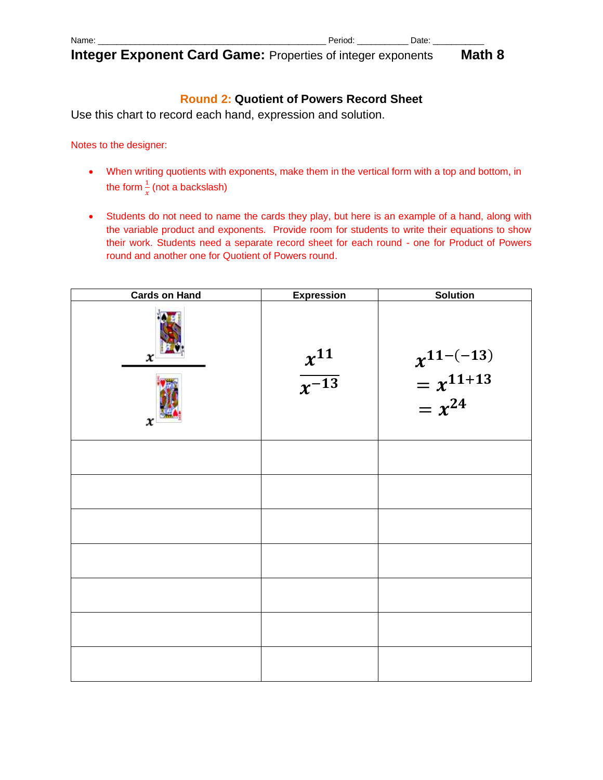| . .<br>Name |  |  |
|-------------|--|--|
|             |  |  |

# **Round 2: Quotient of Powers Record Sheet**

Use this chart to record each hand, expression and solution.

Notes to the designer:

- When writing quotients with exponents, make them in the vertical form with a top and bottom, in the form  $\frac{1}{x}$  (not a backslash)
- Students do not need to name the cards they play, but here is an example of a hand, along with the variable product and exponents. Provide room for students to write their equations to show their work. Students need a separate record sheet for each round - one for Product of Powers round and another one for Quotient of Powers round.

| <b>Cards on Hand</b> | <b>Expression</b>        | <b>Solution</b>                               |
|----------------------|--------------------------|-----------------------------------------------|
| x<br>x               | $\frac{x^{11}}{x^{-13}}$ | $x^{11-(-13)}$<br>= $x^{11+13}$<br>= $x^{24}$ |
|                      |                          |                                               |
|                      |                          |                                               |
|                      |                          |                                               |
|                      |                          |                                               |
|                      |                          |                                               |
|                      |                          |                                               |
|                      |                          |                                               |